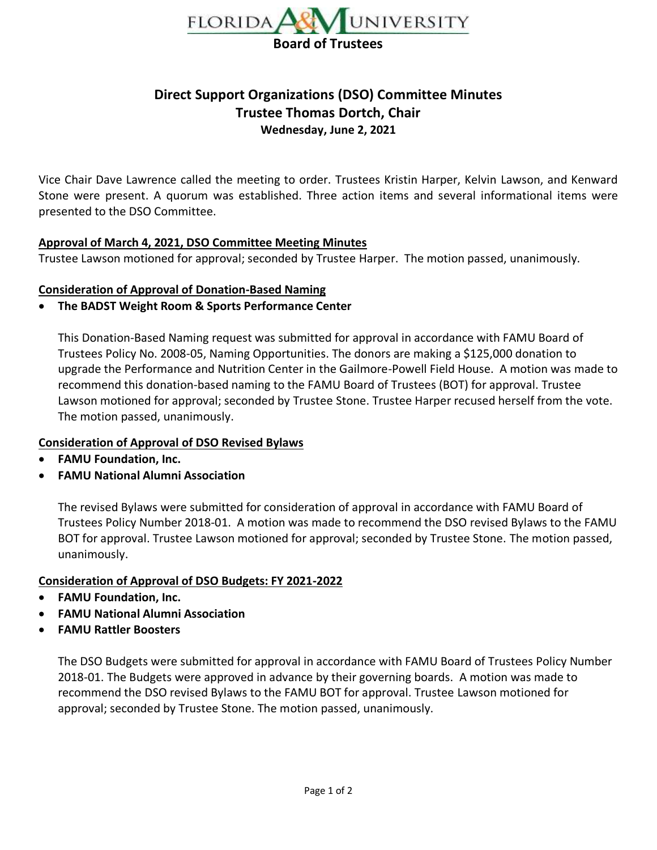

# **Direct Support Organizations (DSO) Committee Minutes Trustee Thomas Dortch, Chair Wednesday, June 2, 2021**

Vice Chair Dave Lawrence called the meeting to order. Trustees Kristin Harper, Kelvin Lawson, and Kenward Stone were present. A quorum was established. Three action items and several informational items were presented to the DSO Committee.

#### **Approval of March 4, 2021, DSO Committee Meeting Minutes**

Trustee Lawson motioned for approval; seconded by Trustee Harper. The motion passed, unanimously.

#### **Consideration of Approval of Donation-Based Naming**

#### • **The BADST Weight Room & Sports Performance Center**

This Donation-Based Naming request was submitted for approval in accordance with FAMU Board of Trustees Policy No. 2008-05, Naming Opportunities. The donors are making a \$125,000 donation to upgrade the Performance and Nutrition Center in the Gailmore-Powell Field House. A motion was made to recommend this donation-based naming to the FAMU Board of Trustees (BOT) for approval. Trustee Lawson motioned for approval; seconded by Trustee Stone. Trustee Harper recused herself from the vote. The motion passed, unanimously.

#### **Consideration of Approval of DSO Revised Bylaws**

- **FAMU Foundation, Inc.**
- **FAMU National Alumni Association**

The revised Bylaws were submitted for consideration of approval in accordance with FAMU Board of Trustees Policy Number 2018-01. A motion was made to recommend the DSO revised Bylaws to the FAMU BOT for approval. Trustee Lawson motioned for approval; seconded by Trustee Stone. The motion passed, unanimously.

#### **Consideration of Approval of DSO Budgets: FY 2021-2022**

- **FAMU Foundation, Inc.**
- **FAMU National Alumni Association**
- **FAMU Rattler Boosters**

The DSO Budgets were submitted for approval in accordance with FAMU Board of Trustees Policy Number 2018-01. The Budgets were approved in advance by their governing boards. A motion was made to recommend the DSO revised Bylaws to the FAMU BOT for approval. Trustee Lawson motioned for approval; seconded by Trustee Stone. The motion passed, unanimously.